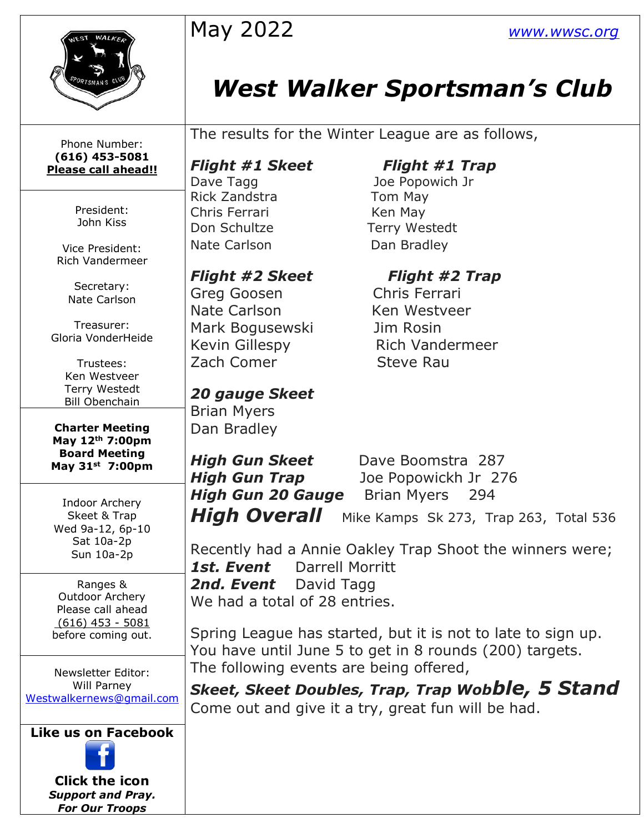| WALA                                    | May 2022                                                     | <b>WWW.WWSC.Org</b>                                |  |  |  |  |
|-----------------------------------------|--------------------------------------------------------------|----------------------------------------------------|--|--|--|--|
| ORTSMAN'S                               |                                                              | <b>West Walker Sportsman's Club</b>                |  |  |  |  |
| Phone Number:                           | The results for the Winter League are as follows,            |                                                    |  |  |  |  |
| $(616)$ 453-5081                        |                                                              |                                                    |  |  |  |  |
| Please call ahead!!                     | <b>Flight #1 Skeet</b>                                       | <b>Flight #1 Trap</b>                              |  |  |  |  |
|                                         | Dave Tagg<br>Rick Zandstra                                   | Joe Popowich Jr                                    |  |  |  |  |
| President:                              | Chris Ferrari                                                | Tom May                                            |  |  |  |  |
| John Kiss                               | Don Schultze                                                 | Ken May<br>Terry Westedt                           |  |  |  |  |
|                                         |                                                              |                                                    |  |  |  |  |
| Vice President:<br>Rich Vandermeer      | Nate Carlson                                                 | Dan Bradley                                        |  |  |  |  |
|                                         | <b>Flight #2 Skeet</b>                                       | <b>Flight #2 Trap</b>                              |  |  |  |  |
| Secretary:<br>Nate Carlson              | Greg Goosen                                                  | Chris Ferrari                                      |  |  |  |  |
|                                         | Nate Carlson                                                 | Ken Westveer                                       |  |  |  |  |
| Treasurer:                              | Mark Bogusewski                                              | Jim Rosin                                          |  |  |  |  |
| Gloria VonderHeide                      | <b>Kevin Gillespy</b>                                        | <b>Rich Vandermeer</b>                             |  |  |  |  |
| Trustees:                               | Zach Comer                                                   | <b>Steve Rau</b>                                   |  |  |  |  |
| Ken Westveer                            |                                                              |                                                    |  |  |  |  |
| Terry Westedt                           | <b>20 gauge Skeet</b>                                        |                                                    |  |  |  |  |
| <b>Bill Obenchain</b>                   | <b>Brian Myers</b>                                           |                                                    |  |  |  |  |
| <b>Charter Meeting</b>                  | Dan Bradley                                                  |                                                    |  |  |  |  |
| May 12th 7:00pm<br><b>Board Meeting</b> |                                                              |                                                    |  |  |  |  |
| May 31 <sup>st</sup> 7:00pm             | High Gun Skeet                                               | Dave Boomstra 287                                  |  |  |  |  |
|                                         | <b>High Gun Trap</b>                                         | Joe Popowickh Jr 276                               |  |  |  |  |
| Indoor Archery                          | <b>High Gun 20 Gauge</b>                                     | <b>Brian Myers</b><br>294                          |  |  |  |  |
| Skeet & Trap<br>Wed 9a-12, 6p-10        | <b>High Overall</b>                                          | Mike Kamps Sk 273, Trap 263, Total 536             |  |  |  |  |
| Sat 10a-2p                              | Recently had a Annie Oakley Trap Shoot the winners were;     |                                                    |  |  |  |  |
| Sun 10a-2p                              | 1st. Event<br><b>Darrell Morritt</b>                         |                                                    |  |  |  |  |
| Ranges &                                |                                                              |                                                    |  |  |  |  |
| Outdoor Archery                         | 2nd. Event<br>David Tagg                                     |                                                    |  |  |  |  |
| Please call ahead                       | We had a total of 28 entries.                                |                                                    |  |  |  |  |
| $(616)$ 453 - 5081                      |                                                              |                                                    |  |  |  |  |
| before coming out.                      | Spring League has started, but it is not to late to sign up. |                                                    |  |  |  |  |
|                                         | You have until June 5 to get in 8 rounds (200) targets.      |                                                    |  |  |  |  |
| Newsletter Editor:                      | The following events are being offered,                      |                                                    |  |  |  |  |
| Will Parney<br>Westwalkernews@gmail.com | <b>Skeet, Skeet Doubles, Trap, Trap Wobble, 5 Stand</b>      |                                                    |  |  |  |  |
|                                         |                                                              | Come out and give it a try, great fun will be had. |  |  |  |  |
| <b>Like us on Facebook</b>              |                                                              |                                                    |  |  |  |  |
|                                         |                                                              |                                                    |  |  |  |  |
| <b>Click the icon</b>                   |                                                              |                                                    |  |  |  |  |
| <b>Support and Pray.</b>                |                                                              |                                                    |  |  |  |  |
| <b>For Our Troops</b>                   |                                                              |                                                    |  |  |  |  |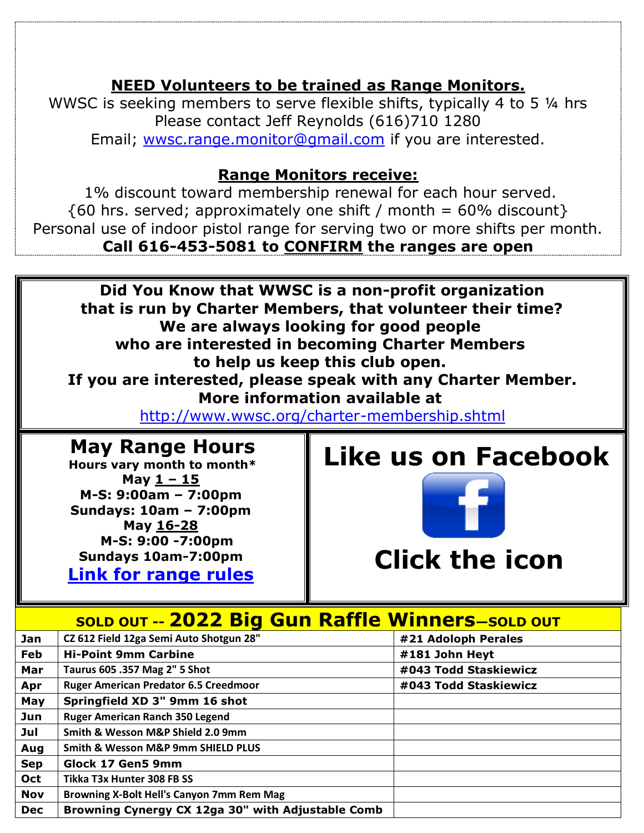### **NEED Volunteers to be trained as Range Monitors.**

WWSC is seeking members to serve flexible shifts, typically 4 to 5  $\frac{1}{4}$  hrs Please contact Jeff Reynolds (616)710 1280 Email; [wwsc.range.monitor@gmail.com](mailto:wwsc.range.monitor@gmail.com) if you are interested.

#### **Range Monitors receive:**

1% discount toward membership renewal for each hour served.  ${60 \text{ hrs. served}}$ ; approximately one shift / month = 60% discount} Personal use of indoor pistol range for serving two or more shifts per month. **Call 616-453-5081 to CONFIRM the ranges are open**



**Hours vary month to month\* May 1 – 15 M-S: 9:00am – 7:00pm Sundays: 10am – 7:00pm May 16-28 M-S: 9:00 -7:00pm**

**Sundays 10am-7:00pm [Link for range rules](http://www.wwsc.org/img/ranges/RangeRules.pdf)**

## **Like us on Facebook**



# **Clic[k th](http://commons.wikimedia.org/wiki/file:facebook_shiny_icon.svg)e icon**

### **SOLD OUT -- 2022 Big Gun Raffle Winners—SOLD OUT**

| Jan        | CZ 612 Field 12ga Semi Auto Shotgun 28"           | #21 Adoloph Perales   |
|------------|---------------------------------------------------|-----------------------|
| Feb        | <b>Hi-Point 9mm Carbine</b>                       | #181 John Heyt        |
| Mar        | Taurus 605 .357 Mag 2" 5 Shot                     | #043 Todd Staskiewicz |
| Apr        | <b>Ruger American Predator 6.5 Creedmoor</b>      | #043 Todd Staskiewicz |
| May        | Springfield XD 3" 9mm 16 shot                     |                       |
| Jun        | <b>Ruger American Ranch 350 Legend</b>            |                       |
| Jul        | Smith & Wesson M&P Shield 2.0 9mm                 |                       |
| Aug        | Smith & Wesson M&P 9mm SHIELD PLUS                |                       |
| <b>Sep</b> | Glock 17 Gen5 9mm                                 |                       |
| <b>Oct</b> | Tikka T3x Hunter 308 FB SS                        |                       |
| <b>Nov</b> | Browning X-Bolt Hell's Canyon 7mm Rem Mag         |                       |
| <b>Dec</b> | Browning Cynergy CX 12ga 30" with Adjustable Comb |                       |